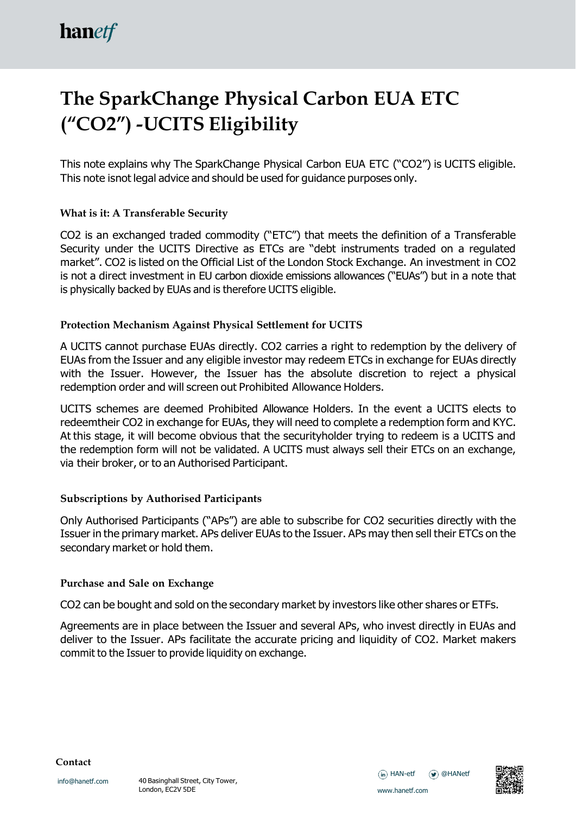# **The SparkChange Physical Carbon EUA ETC ("CO2") -UCITS Eligibility**

This note explains why The SparkChange Physical Carbon EUA ETC ("CO2") is UCITS eligible. This note isnot legal advice and should be used for guidance purposes only.

## **What is it: A Transferable Security**

CO2 is an exchanged traded commodity ("ETC") that meets the definition of a Transferable Security under the UCITS Directive as ETCs are "debt instruments traded on a regulated market". CO2 is listed on the Official List of the London Stock Exchange. An investment in CO2 is not a direct investment in EU carbon dioxide emissions allowances ("EUAs") but in a note that is physically backed by EUAs and is therefore UCITS eligible.

## **Protection Mechanism Against Physical Settlement for UCITS**

A UCITS cannot purchase EUAs directly. CO2 carries a right to redemption by the delivery of EUAs from the Issuer and any eligible investor may redeem ETCs in exchange for EUAs directly with the Issuer. However, the Issuer has the absolute discretion to reject a physical redemption order and will screen out Prohibited Allowance Holders.

UCITS schemes are deemed Prohibited Allowance Holders. In the event a UCITS elects to redeemtheir CO2 in exchange for EUAs, they will need to complete a redemption form and KYC. At this stage, it will become obvious that the securityholder trying to redeem is a UCITS and the redemption form will not be validated. A UCITS must always sell their ETCs on an exchange, via their broker, or to an Authorised Participant.

### **Subscriptions by Authorised Participants**

Only Authorised Participants ("APs") are able to subscribe for CO2 securities directly with the Issuer in the primary market. APs deliver EUAs to the Issuer. APs may then sell their ETCs on the secondary market or hold them.

### **Purchase and Sale on Exchange**

CO2 can be bought and sold on the secondary market by investors like other shares or ETFs.

Agreements are in place between the Issuer and several APs, who invest directly in EUAs and deliver to the Issuer. APs facilitate the accurate pricing and liquidity of CO2. Market makers commit to the Issuer to provide liquidity on exchange.

**Contact**